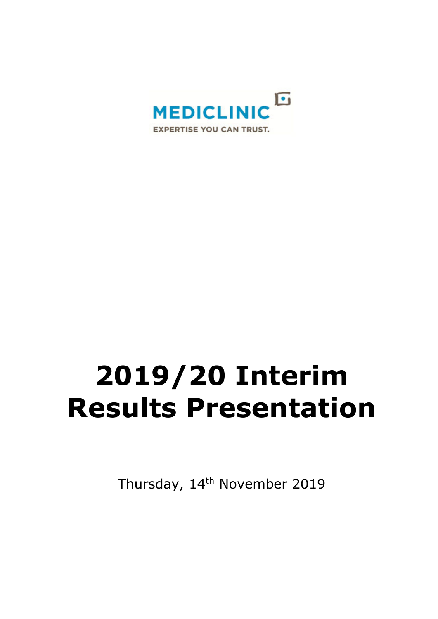

# **2019/20 Interim Results Presentation**

Thursday, 14<sup>th</sup> November 2019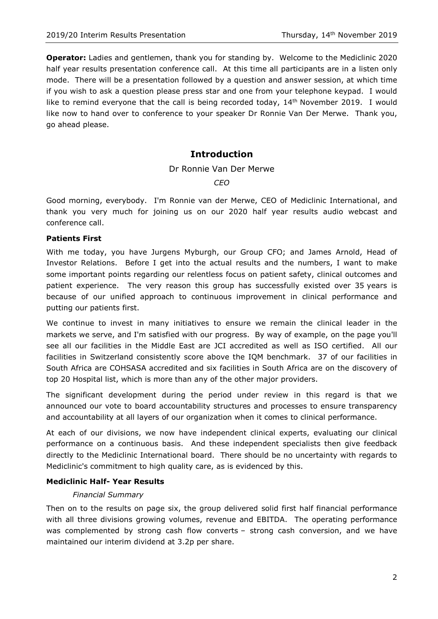**Operator:** Ladies and gentlemen, thank you for standing by. Welcome to the Mediclinic 2020 half year results presentation conference call. At this time all participants are in a listen only mode. There will be a presentation followed by a question and answer session, at which time if you wish to ask a question please press star and one from your telephone keypad. I would like to remind everyone that the call is being recorded today,  $14<sup>th</sup>$  November 2019. I would like now to hand over to conference to your speaker Dr Ronnie Van Der Merwe. Thank you, go ahead please.

# **Introduction**

# Dr Ronnie Van Der Merwe

*CEO*

Good morning, everybody. I'm Ronnie van der Merwe, CEO of Mediclinic International, and thank you very much for joining us on our 2020 half year results audio webcast and conference call.

# **Patients First**

With me today, you have Jurgens Myburgh, our Group CFO; and James Arnold, Head of Investor Relations. Before I get into the actual results and the numbers, I want to make some important points regarding our relentless focus on patient safety, clinical outcomes and patient experience. The very reason this group has successfully existed over 35 years is because of our unified approach to continuous improvement in clinical performance and putting our patients first.

We continue to invest in many initiatives to ensure we remain the clinical leader in the markets we serve, and I'm satisfied with our progress. By way of example, on the page you'll see all our facilities in the Middle East are JCI accredited as well as ISO certified. All our facilities in Switzerland consistently score above the IQM benchmark. 37 of our facilities in South Africa are COHSASA accredited and six facilities in South Africa are on the discovery of top 20 Hospital list, which is more than any of the other major providers.

The significant development during the period under review in this regard is that we announced our vote to board accountability structures and processes to ensure transparency and accountability at all layers of our organization when it comes to clinical performance.

At each of our divisions, we now have independent clinical experts, evaluating our clinical performance on a continuous basis. And these independent specialists then give feedback directly to the Mediclinic International board. There should be no uncertainty with regards to Mediclinic's commitment to high quality care, as is evidenced by this.

# **Mediclinic Half- Year Results**

## *Financial Summary*

Then on to the results on page six, the group delivered solid first half financial performance with all three divisions growing volumes, revenue and EBITDA. The operating performance was complemented by strong cash flow converts – strong cash conversion, and we have maintained our interim dividend at 3.2p per share.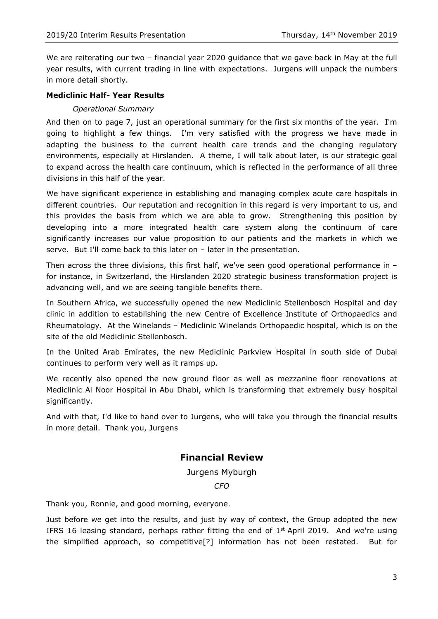We are reiterating our two – financial year 2020 guidance that we gave back in May at the full year results, with current trading in line with expectations. Jurgens will unpack the numbers in more detail shortly.

# **Mediclinic Half- Year Results**

# *Operational Summary*

And then on to page 7, just an operational summary for the first six months of the year. I'm going to highlight a few things. I'm very satisfied with the progress we have made in adapting the business to the current health care trends and the changing regulatory environments, especially at Hirslanden. A theme, I will talk about later, is our strategic goal to expand across the health care continuum, which is reflected in the performance of all three divisions in this half of the year.

We have significant experience in establishing and managing complex acute care hospitals in different countries. Our reputation and recognition in this regard is very important to us, and this provides the basis from which we are able to grow. Strengthening this position by developing into a more integrated health care system along the continuum of care significantly increases our value proposition to our patients and the markets in which we serve. But I'll come back to this later on – later in the presentation.

Then across the three divisions, this first half, we've seen good operational performance in – for instance, in Switzerland, the Hirslanden 2020 strategic business transformation project is advancing well, and we are seeing tangible benefits there.

In Southern Africa, we successfully opened the new Mediclinic Stellenbosch Hospital and day clinic in addition to establishing the new Centre of Excellence Institute of Orthopaedics and Rheumatology. At the Winelands – Mediclinic Winelands Orthopaedic hospital, which is on the site of the old Mediclinic Stellenbosch.

In the United Arab Emirates, the new Mediclinic Parkview Hospital in south side of Dubai continues to perform very well as it ramps up.

We recently also opened the new ground floor as well as mezzanine floor renovations at Mediclinic Al Noor Hospital in Abu Dhabi, which is transforming that extremely busy hospital significantly.

And with that, I'd like to hand over to Jurgens, who will take you through the financial results in more detail. Thank you, Jurgens

# **Financial Review**

Jurgens Myburgh

*CFO*

Thank you, Ronnie, and good morning, everyone.

Just before we get into the results, and just by way of context, the Group adopted the new IFRS 16 leasing standard, perhaps rather fitting the end of  $1<sup>st</sup>$  April 2019. And we're using the simplified approach, so competitive[?] information has not been restated. But for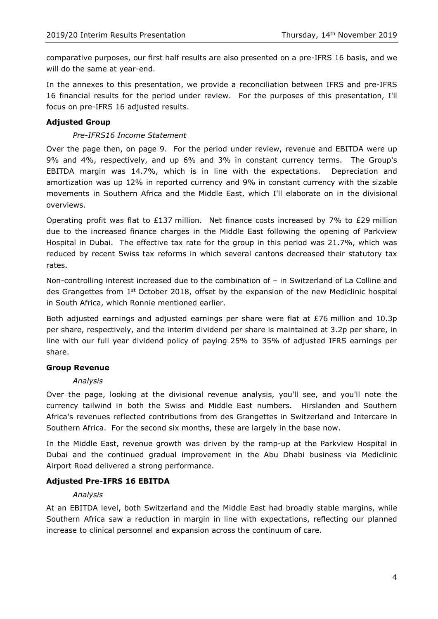comparative purposes, our first half results are also presented on a pre-IFRS 16 basis, and we will do the same at year-end.

In the annexes to this presentation, we provide a reconciliation between IFRS and pre-IFRS 16 financial results for the period under review. For the purposes of this presentation, I'll focus on pre-IFRS 16 adjusted results.

## **Adjusted Group**

## *Pre-IFRS16 Income Statement*

Over the page then, on page 9. For the period under review, revenue and EBITDA were up 9% and 4%, respectively, and up 6% and 3% in constant currency terms. The Group's EBITDA margin was 14.7%, which is in line with the expectations. Depreciation and amortization was up 12% in reported currency and 9% in constant currency with the sizable movements in Southern Africa and the Middle East, which I'll elaborate on in the divisional overviews.

Operating profit was flat to £137 million. Net finance costs increased by 7% to £29 million due to the increased finance charges in the Middle East following the opening of Parkview Hospital in Dubai. The effective tax rate for the group in this period was 21.7%, which was reduced by recent Swiss tax reforms in which several cantons decreased their statutory tax rates.

Non-controlling interest increased due to the combination of – in Switzerland of La Colline and des Grangettes from 1st October 2018, offset by the expansion of the new Mediclinic hospital in South Africa, which Ronnie mentioned earlier.

Both adjusted earnings and adjusted earnings per share were flat at £76 million and 10.3p per share, respectively, and the interim dividend per share is maintained at 3.2p per share, in line with our full year dividend policy of paying 25% to 35% of adjusted IFRS earnings per share.

## **Group Revenue**

## *Analysis*

Over the page, looking at the divisional revenue analysis, you'll see, and you'll note the currency tailwind in both the Swiss and Middle East numbers. Hirslanden and Southern Africa's revenues reflected contributions from des Grangettes in Switzerland and Intercare in Southern Africa. For the second six months, these are largely in the base now.

In the Middle East, revenue growth was driven by the ramp-up at the Parkview Hospital in Dubai and the continued gradual improvement in the Abu Dhabi business via Mediclinic Airport Road delivered a strong performance.

## **Adjusted Pre-IFRS 16 EBITDA**

## *Analysis*

At an EBITDA level, both Switzerland and the Middle East had broadly stable margins, while Southern Africa saw a reduction in margin in line with expectations, reflecting our planned increase to clinical personnel and expansion across the continuum of care.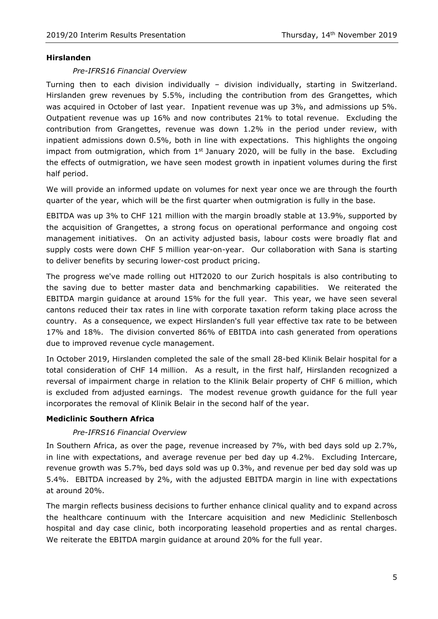## **Hirslanden**

# *Pre-IFRS16 Financial Overview*

Turning then to each division individually – division individually, starting in Switzerland. Hirslanden grew revenues by 5.5%, including the contribution from des Grangettes, which was acquired in October of last year. Inpatient revenue was up 3%, and admissions up 5%. Outpatient revenue was up 16% and now contributes 21% to total revenue. Excluding the contribution from Grangettes, revenue was down 1.2% in the period under review, with inpatient admissions down 0.5%, both in line with expectations. This highlights the ongoing impact from outmigration, which from  $1<sup>st</sup>$  January 2020, will be fully in the base. Excluding the effects of outmigration, we have seen modest growth in inpatient volumes during the first half period.

We will provide an informed update on volumes for next year once we are through the fourth quarter of the year, which will be the first quarter when outmigration is fully in the base.

EBITDA was up 3% to CHF 121 million with the margin broadly stable at 13.9%, supported by the acquisition of Grangettes, a strong focus on operational performance and ongoing cost management initiatives. On an activity adjusted basis, labour costs were broadly flat and supply costs were down CHF 5 million year-on-year. Our collaboration with Sana is starting to deliver benefits by securing lower-cost product pricing.

The progress we've made rolling out HIT2020 to our Zurich hospitals is also contributing to the saving due to better master data and benchmarking capabilities. We reiterated the EBITDA margin guidance at around 15% for the full year. This year, we have seen several cantons reduced their tax rates in line with corporate taxation reform taking place across the country. As a consequence, we expect Hirslanden's full year effective tax rate to be between 17% and 18%. The division converted 86% of EBITDA into cash generated from operations due to improved revenue cycle management.

In October 2019, Hirslanden completed the sale of the small 28-bed Klinik Belair hospital for a total consideration of CHF 14 million. As a result, in the first half, Hirslanden recognized a reversal of impairment charge in relation to the Klinik Belair property of CHF 6 million, which is excluded from adjusted earnings. The modest revenue growth guidance for the full year incorporates the removal of Klinik Belair in the second half of the year.

# **Mediclinic Southern Africa**

# *Pre-IFRS16 Financial Overview*

In Southern Africa, as over the page, revenue increased by 7%, with bed days sold up 2.7%, in line with expectations, and average revenue per bed day up 4.2%. Excluding Intercare, revenue growth was 5.7%, bed days sold was up 0.3%, and revenue per bed day sold was up 5.4%. EBITDA increased by 2%, with the adjusted EBITDA margin in line with expectations at around 20%.

The margin reflects business decisions to further enhance clinical quality and to expand across the healthcare continuum with the Intercare acquisition and new Mediclinic Stellenbosch hospital and day case clinic, both incorporating leasehold properties and as rental charges. We reiterate the EBITDA margin guidance at around 20% for the full year.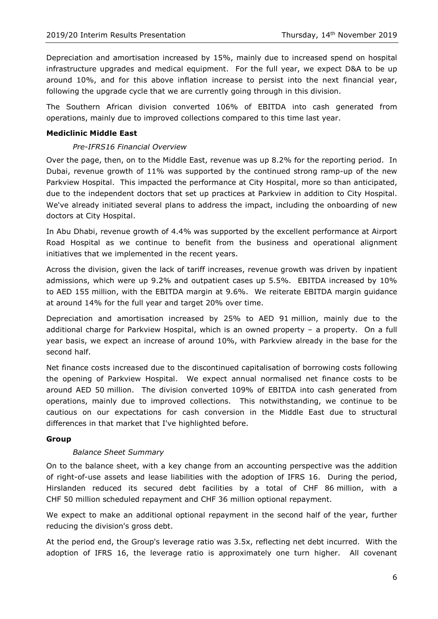Depreciation and amortisation increased by 15%, mainly due to increased spend on hospital infrastructure upgrades and medical equipment. For the full year, we expect D&A to be up around 10%, and for this above inflation increase to persist into the next financial year, following the upgrade cycle that we are currently going through in this division.

The Southern African division converted 106% of EBITDA into cash generated from operations, mainly due to improved collections compared to this time last year.

## **Mediclinic Middle East**

# *Pre-IFRS16 Financial Overview*

Over the page, then, on to the Middle East, revenue was up 8.2% for the reporting period. In Dubai, revenue growth of 11% was supported by the continued strong ramp-up of the new Parkview Hospital. This impacted the performance at City Hospital, more so than anticipated, due to the independent doctors that set up practices at Parkview in addition to City Hospital. We've already initiated several plans to address the impact, including the onboarding of new doctors at City Hospital.

In Abu Dhabi, revenue growth of 4.4% was supported by the excellent performance at Airport Road Hospital as we continue to benefit from the business and operational alignment initiatives that we implemented in the recent years.

Across the division, given the lack of tariff increases, revenue growth was driven by inpatient admissions, which were up 9.2% and outpatient cases up 5.5%. EBITDA increased by 10% to AED 155 million, with the EBITDA margin at 9.6%. We reiterate EBITDA margin guidance at around 14% for the full year and target 20% over time.

Depreciation and amortisation increased by 25% to AED 91 million, mainly due to the additional charge for Parkview Hospital, which is an owned property – a property. On a full year basis, we expect an increase of around 10%, with Parkview already in the base for the second half.

Net finance costs increased due to the discontinued capitalisation of borrowing costs following the opening of Parkview Hospital. We expect annual normalised net finance costs to be around AED 50 million. The division converted 109% of EBITDA into cash generated from operations, mainly due to improved collections. This notwithstanding, we continue to be cautious on our expectations for cash conversion in the Middle East due to structural differences in that market that I've highlighted before.

## **Group**

## *Balance Sheet Summary*

On to the balance sheet, with a key change from an accounting perspective was the addition of right-of-use assets and lease liabilities with the adoption of IFRS 16. During the period, Hirslanden reduced its secured debt facilities by a total of CHF 86 million, with a CHF 50 million scheduled repayment and CHF 36 million optional repayment.

We expect to make an additional optional repayment in the second half of the year, further reducing the division's gross debt.

At the period end, the Group's leverage ratio was 3.5x, reflecting net debt incurred. With the adoption of IFRS 16, the leverage ratio is approximately one turn higher. All covenant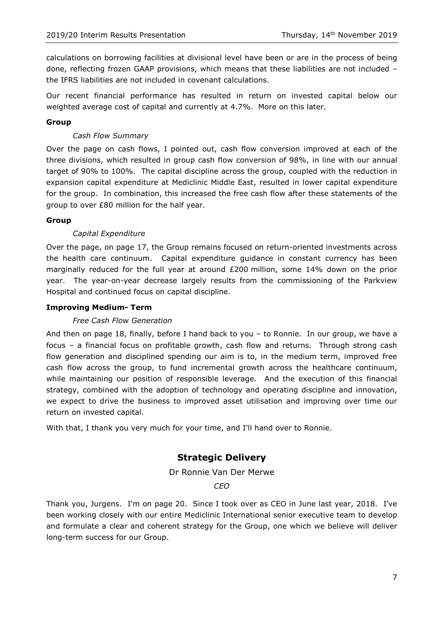calculations on borrowing facilities at divisional level have been or are in the process of being done, reflecting frozen GAAP provisions, which means that these liabilities are not included – the IFRS liabilities are not included in covenant calculations.

Our recent financial performance has resulted in return on invested capital below our weighted average cost of capital and currently at 4.7%. More on this later.

# **Group**

# *Cash Flow Summary*

Over the page on cash flows, I pointed out, cash flow conversion improved at each of the three divisions, which resulted in group cash flow conversion of 98%, in line with our annual target of 90% to 100%. The capital discipline across the group, coupled with the reduction in expansion capital expenditure at Mediclinic Middle East, resulted in lower capital expenditure for the group. In combination, this increased the free cash flow after these statements of the group to over £80 million for the half year.

## **Group**

# *Capital Expenditure*

Over the page, on page 17, the Group remains focused on return-oriented investments across the health care continuum. Capital expenditure guidance in constant currency has been marginally reduced for the full year at around £200 million, some 14% down on the prior year. The year-on-year decrease largely results from the commissioning of the Parkview Hospital and continued focus on capital discipline.

# **Improving Medium- Term**

## *Free Cash Flow Generation*

And then on page 18, finally, before I hand back to you – to Ronnie. In our group, we have a focus – a financial focus on profitable growth, cash flow and returns. Through strong cash flow generation and disciplined spending our aim is to, in the medium term, improved free cash flow across the group, to fund incremental growth across the healthcare continuum, while maintaining our position of responsible leverage. And the execution of this financial strategy, combined with the adoption of technology and operating discipline and innovation, we expect to drive the business to improved asset utilisation and improving over time our return on invested capital.

With that, I thank you very much for your time, and I'll hand over to Ronnie.

# **Strategic Delivery**

## Dr Ronnie Van Der Merwe

*CEO*

Thank you, Jurgens. I'm on page 20. Since I took over as CEO in June last year, 2018. I've been working closely with our entire Mediclinic International senior executive team to develop and formulate a clear and coherent strategy for the Group, one which we believe will deliver long-term success for our Group.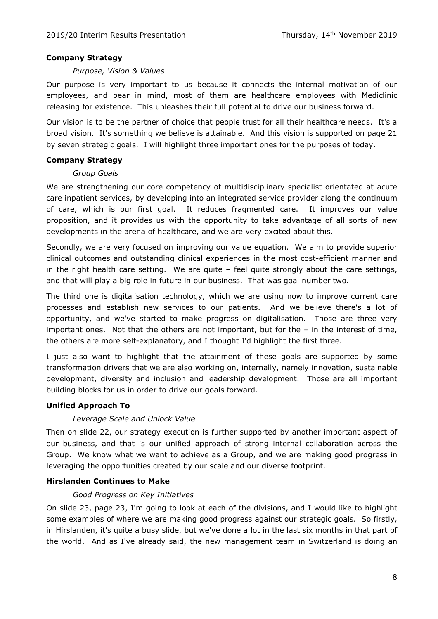## **Company Strategy**

## *Purpose, Vision & Values*

Our purpose is very important to us because it connects the internal motivation of our employees, and bear in mind, most of them are healthcare employees with Mediclinic releasing for existence. This unleashes their full potential to drive our business forward.

Our vision is to be the partner of choice that people trust for all their healthcare needs. It's a broad vision. It's something we believe is attainable. And this vision is supported on page 21 by seven strategic goals. I will highlight three important ones for the purposes of today.

# **Company Strategy**

# *Group Goals*

We are strengthening our core competency of multidisciplinary specialist orientated at acute care inpatient services, by developing into an integrated service provider along the continuum of care, which is our first goal. It reduces fragmented care. It improves our value proposition, and it provides us with the opportunity to take advantage of all sorts of new developments in the arena of healthcare, and we are very excited about this.

Secondly, we are very focused on improving our value equation. We aim to provide superior clinical outcomes and outstanding clinical experiences in the most cost-efficient manner and in the right health care setting. We are quite  $-$  feel quite strongly about the care settings, and that will play a big role in future in our business. That was goal number two.

The third one is digitalisation technology, which we are using now to improve current care processes and establish new services to our patients. And we believe there's a lot of opportunity, and we've started to make progress on digitalisation. Those are three very important ones. Not that the others are not important, but for the - in the interest of time, the others are more self-explanatory, and I thought I'd highlight the first three.

I just also want to highlight that the attainment of these goals are supported by some transformation drivers that we are also working on, internally, namely innovation, sustainable development, diversity and inclusion and leadership development. Those are all important building blocks for us in order to drive our goals forward.

# **Unified Approach To**

# *Leverage Scale and Unlock Value*

Then on slide 22, our strategy execution is further supported by another important aspect of our business, and that is our unified approach of strong internal collaboration across the Group. We know what we want to achieve as a Group, and we are making good progress in leveraging the opportunities created by our scale and our diverse footprint.

# **Hirslanden Continues to Make**

# *Good Progress on Key Initiatives*

On slide 23, page 23, I'm going to look at each of the divisions, and I would like to highlight some examples of where we are making good progress against our strategic goals. So firstly, in Hirslanden, it's quite a busy slide, but we've done a lot in the last six months in that part of the world. And as I've already said, the new management team in Switzerland is doing an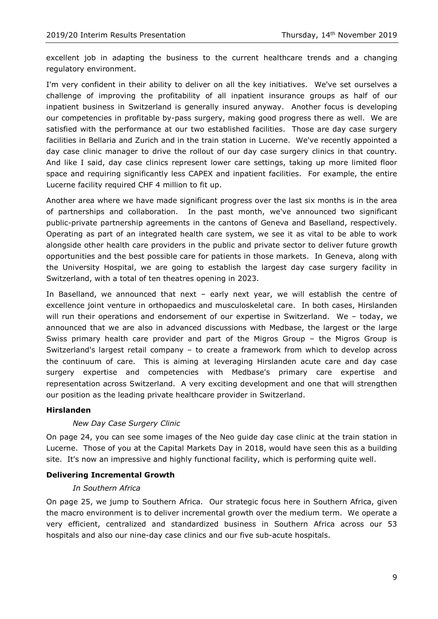excellent job in adapting the business to the current healthcare trends and a changing regulatory environment.

I'm very confident in their ability to deliver on all the key initiatives. We've set ourselves a challenge of improving the profitability of all inpatient insurance groups as half of our inpatient business in Switzerland is generally insured anyway. Another focus is developing our competencies in profitable by-pass surgery, making good progress there as well. We are satisfied with the performance at our two established facilities. Those are day case surgery facilities in Bellaria and Zurich and in the train station in Lucerne. We've recently appointed a day case clinic manager to drive the rollout of our day case surgery clinics in that country. And like I said, day case clinics represent lower care settings, taking up more limited floor space and requiring significantly less CAPEX and inpatient facilities. For example, the entire Lucerne facility required CHF 4 million to fit up.

Another area where we have made significant progress over the last six months is in the area of partnerships and collaboration. In the past month, we've announced two significant public-private partnership agreements in the cantons of Geneva and Baselland, respectively. Operating as part of an integrated health care system, we see it as vital to be able to work alongside other health care providers in the public and private sector to deliver future growth opportunities and the best possible care for patients in those markets. In Geneva, along with the University Hospital, we are going to establish the largest day case surgery facility in Switzerland, with a total of ten theatres opening in 2023.

In Baselland, we announced that next – early next year, we will establish the centre of excellence joint venture in orthopaedics and musculoskeletal care. In both cases, Hirslanden will run their operations and endorsement of our expertise in Switzerland. We – today, we announced that we are also in advanced discussions with Medbase, the largest or the large Swiss primary health care provider and part of the Migros Group – the Migros Group is Switzerland's largest retail company – to create a framework from which to develop across the continuum of care. This is aiming at leveraging Hirslanden acute care and day case surgery expertise and competencies with Medbase's primary care expertise and representation across Switzerland. A very exciting development and one that will strengthen our position as the leading private healthcare provider in Switzerland.

# **Hirslanden**

## *New Day Case Surgery Clinic*

On page 24, you can see some images of the Neo guide day case clinic at the train station in Lucerne. Those of you at the Capital Markets Day in 2018, would have seen this as a building site. It's now an impressive and highly functional facility, which is performing quite well.

## **Delivering Incremental Growth**

## *In Southern Africa*

On page 25, we jump to Southern Africa. Our strategic focus here in Southern Africa, given the macro environment is to deliver incremental growth over the medium term. We operate a very efficient, centralized and standardized business in Southern Africa across our 53 hospitals and also our nine-day case clinics and our five sub-acute hospitals.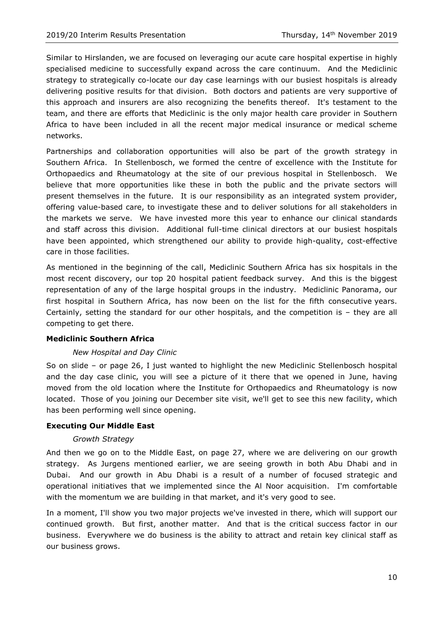Similar to Hirslanden, we are focused on leveraging our acute care hospital expertise in highly specialised medicine to successfully expand across the care continuum. And the Mediclinic strategy to strategically co-locate our day case learnings with our busiest hospitals is already delivering positive results for that division. Both doctors and patients are very supportive of this approach and insurers are also recognizing the benefits thereof. It's testament to the team, and there are efforts that Mediclinic is the only major health care provider in Southern Africa to have been included in all the recent major medical insurance or medical scheme networks.

Partnerships and collaboration opportunities will also be part of the growth strategy in Southern Africa. In Stellenbosch, we formed the centre of excellence with the Institute for Orthopaedics and Rheumatology at the site of our previous hospital in Stellenbosch. We believe that more opportunities like these in both the public and the private sectors will present themselves in the future. It is our responsibility as an integrated system provider, offering value-based care, to investigate these and to deliver solutions for all stakeholders in the markets we serve. We have invested more this year to enhance our clinical standards and staff across this division. Additional full-time clinical directors at our busiest hospitals have been appointed, which strengthened our ability to provide high-quality, cost-effective care in those facilities.

As mentioned in the beginning of the call, Mediclinic Southern Africa has six hospitals in the most recent discovery, our top 20 hospital patient feedback survey. And this is the biggest representation of any of the large hospital groups in the industry. Mediclinic Panorama, our first hospital in Southern Africa, has now been on the list for the fifth consecutive years. Certainly, setting the standard for our other hospitals, and the competition is – they are all competing to get there.

## **Mediclinic Southern Africa**

## *New Hospital and Day Clinic*

So on slide – or page 26, I just wanted to highlight the new Mediclinic Stellenbosch hospital and the day case clinic, you will see a picture of it there that we opened in June, having moved from the old location where the Institute for Orthopaedics and Rheumatology is now located. Those of you joining our December site visit, we'll get to see this new facility, which has been performing well since opening.

# **Executing Our Middle East**

## *Growth Strategy*

And then we go on to the Middle East, on page 27, where we are delivering on our growth strategy. As Jurgens mentioned earlier, we are seeing growth in both Abu Dhabi and in Dubai. And our growth in Abu Dhabi is a result of a number of focused strategic and operational initiatives that we implemented since the Al Noor acquisition. I'm comfortable with the momentum we are building in that market, and it's very good to see.

In a moment, I'll show you two major projects we've invested in there, which will support our continued growth. But first, another matter. And that is the critical success factor in our business. Everywhere we do business is the ability to attract and retain key clinical staff as our business grows.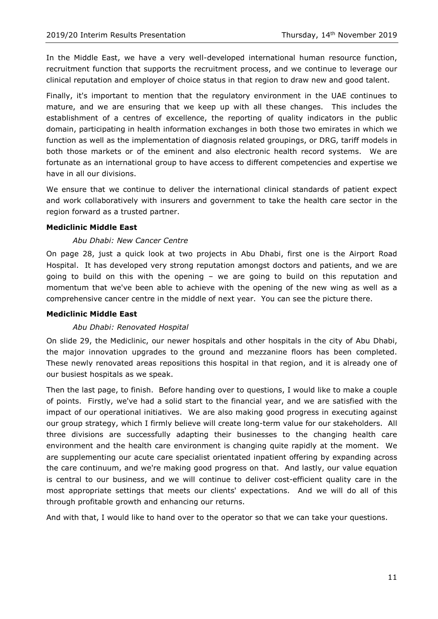In the Middle East, we have a very well-developed international human resource function, recruitment function that supports the recruitment process, and we continue to leverage our clinical reputation and employer of choice status in that region to draw new and good talent.

Finally, it's important to mention that the regulatory environment in the UAE continues to mature, and we are ensuring that we keep up with all these changes. This includes the establishment of a centres of excellence, the reporting of quality indicators in the public domain, participating in health information exchanges in both those two emirates in which we function as well as the implementation of diagnosis related groupings, or DRG, tariff models in both those markets or of the eminent and also electronic health record systems. We are fortunate as an international group to have access to different competencies and expertise we have in all our divisions.

We ensure that we continue to deliver the international clinical standards of patient expect and work collaboratively with insurers and government to take the health care sector in the region forward as a trusted partner.

## **Mediclinic Middle East**

# *Abu Dhabi: New Cancer Centre*

On page 28, just a quick look at two projects in Abu Dhabi, first one is the Airport Road Hospital. It has developed very strong reputation amongst doctors and patients, and we are going to build on this with the opening – we are going to build on this reputation and momentum that we've been able to achieve with the opening of the new wing as well as a comprehensive cancer centre in the middle of next year. You can see the picture there.

## **Mediclinic Middle East**

# *Abu Dhabi: Renovated Hospital*

On slide 29, the Mediclinic, our newer hospitals and other hospitals in the city of Abu Dhabi, the major innovation upgrades to the ground and mezzanine floors has been completed. These newly renovated areas repositions this hospital in that region, and it is already one of our busiest hospitals as we speak.

Then the last page, to finish. Before handing over to questions, I would like to make a couple of points. Firstly, we've had a solid start to the financial year, and we are satisfied with the impact of our operational initiatives. We are also making good progress in executing against our group strategy, which I firmly believe will create long-term value for our stakeholders. All three divisions are successfully adapting their businesses to the changing health care environment and the health care environment is changing quite rapidly at the moment. We are supplementing our acute care specialist orientated inpatient offering by expanding across the care continuum, and we're making good progress on that. And lastly, our value equation is central to our business, and we will continue to deliver cost-efficient quality care in the most appropriate settings that meets our clients' expectations. And we will do all of this through profitable growth and enhancing our returns.

And with that, I would like to hand over to the operator so that we can take your questions.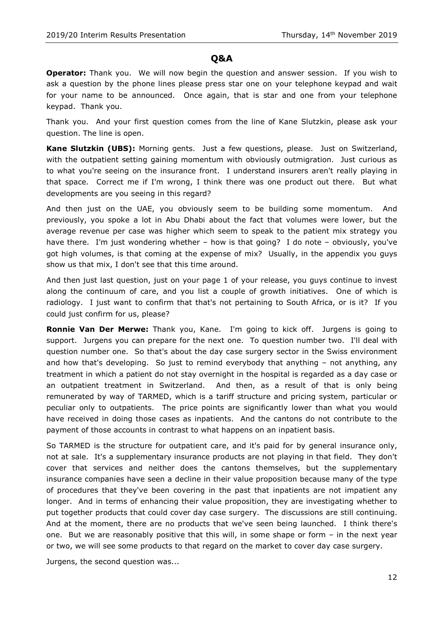# **Q&A**

**Operator:** Thank you. We will now begin the question and answer session. If you wish to ask a question by the phone lines please press star one on your telephone keypad and wait for your name to be announced. Once again, that is star and one from your telephone keypad. Thank you.

Thank you. And your first question comes from the line of Kane Slutzkin, please ask your question. The line is open.

**Kane Slutzkin (UBS):** Morning gents. Just a few questions, please. Just on Switzerland, with the outpatient setting gaining momentum with obviously outmigration. Just curious as to what you're seeing on the insurance front. I understand insurers aren't really playing in that space. Correct me if I'm wrong, I think there was one product out there. But what developments are you seeing in this regard?

And then just on the UAE, you obviously seem to be building some momentum. And previously, you spoke a lot in Abu Dhabi about the fact that volumes were lower, but the average revenue per case was higher which seem to speak to the patient mix strategy you have there. I'm just wondering whether – how is that going? I do note – obviously, you've got high volumes, is that coming at the expense of mix? Usually, in the appendix you guys show us that mix, I don't see that this time around.

And then just last question, just on your page 1 of your release, you guys continue to invest along the continuum of care, and you list a couple of growth initiatives. One of which is radiology. I just want to confirm that that's not pertaining to South Africa, or is it? If you could just confirm for us, please?

**Ronnie Van Der Merwe:** Thank you, Kane. I'm going to kick off. Jurgens is going to support. Jurgens you can prepare for the next one. To question number two. I'll deal with question number one. So that's about the day case surgery sector in the Swiss environment and how that's developing. So just to remind everybody that anything – not anything, any treatment in which a patient do not stay overnight in the hospital is regarded as a day case or an outpatient treatment in Switzerland. And then, as a result of that is only being remunerated by way of TARMED, which is a tariff structure and pricing system, particular or peculiar only to outpatients. The price points are significantly lower than what you would have received in doing those cases as inpatients. And the cantons do not contribute to the payment of those accounts in contrast to what happens on an inpatient basis.

So TARMED is the structure for outpatient care, and it's paid for by general insurance only, not at sale. It's a supplementary insurance products are not playing in that field. They don't cover that services and neither does the cantons themselves, but the supplementary insurance companies have seen a decline in their value proposition because many of the type of procedures that they've been covering in the past that inpatients are not impatient any longer. And in terms of enhancing their value proposition, they are investigating whether to put together products that could cover day case surgery. The discussions are still continuing. And at the moment, there are no products that we've seen being launched. I think there's one. But we are reasonably positive that this will, in some shape or form – in the next year or two, we will see some products to that regard on the market to cover day case surgery.

Jurgens, the second question was...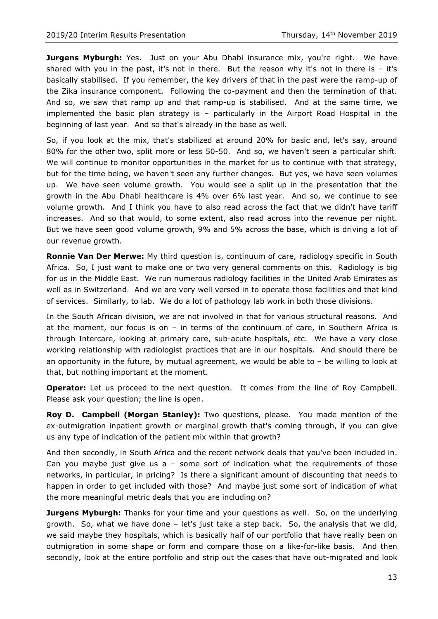**Jurgens Myburgh:** Yes. Just on your Abu Dhabi insurance mix, you're right. We have shared with you in the past, it's not in there. But the reason why it's not in there is  $-$  it's basically stabilised. If you remember, the key drivers of that in the past were the ramp-up of the Zika insurance component. Following the co-payment and then the termination of that. And so, we saw that ramp up and that ramp-up is stabilised. And at the same time, we implemented the basic plan strategy is – particularly in the Airport Road Hospital in the beginning of last year. And so that's already in the base as well.

So, if you look at the mix, that's stabilized at around 20% for basic and, let's say, around 80% for the other two, split more or less 50-50. And so, we haven't seen a particular shift. We will continue to monitor opportunities in the market for us to continue with that strategy, but for the time being, we haven't seen any further changes. But yes, we have seen volumes up. We have seen volume growth. You would see a split up in the presentation that the growth in the Abu Dhabi healthcare is 4% over 6% last year. And so, we continue to see volume growth. And I think you have to also read across the fact that we didn't have tariff increases. And so that would, to some extent, also read across into the revenue per night. But we have seen good volume growth, 9% and 5% across the base, which is driving a lot of our revenue growth.

**Ronnie Van Der Merwe:** My third question is, continuum of care, radiology specific in South Africa. So, I just want to make one or two very general comments on this. Radiology is big for us in the Middle East. We run numerous radiology facilities in the United Arab Emirates as well as in Switzerland. And we are very well versed in to operate those facilities and that kind of services. Similarly, to lab. We do a lot of pathology lab work in both those divisions.

In the South African division, we are not involved in that for various structural reasons. And at the moment, our focus is on – in terms of the continuum of care, in Southern Africa is through Intercare, looking at primary care, sub-acute hospitals, etc. We have a very close working relationship with radiologist practices that are in our hospitals. And should there be an opportunity in the future, by mutual agreement, we would be able to  $-$  be willing to look at that, but nothing important at the moment.

**Operator:** Let us proceed to the next question. It comes from the line of Roy Campbell. Please ask your question; the line is open.

**Roy D. Campbell (Morgan Stanley):** Two questions, please. You made mention of the ex-outmigration inpatient growth or marginal growth that's coming through, if you can give us any type of indication of the patient mix within that growth?

And then secondly, in South Africa and the recent network deals that you've been included in. Can you maybe just give us  $a -$  some sort of indication what the requirements of those networks, in particular, in pricing? Is there a significant amount of discounting that needs to happen in order to get included with those? And maybe just some sort of indication of what the more meaningful metric deals that you are including on?

**Jurgens Myburgh:** Thanks for your time and your questions as well. So, on the underlying growth. So, what we have done – let's just take a step back. So, the analysis that we did, we said maybe they hospitals, which is basically half of our portfolio that have really been on outmigration in some shape or form and compare those on a like-for-like basis. And then secondly, look at the entire portfolio and strip out the cases that have out-migrated and look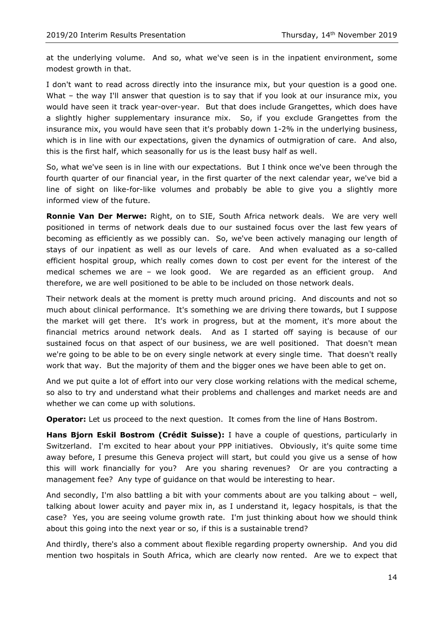at the underlying volume. And so, what we've seen is in the inpatient environment, some modest growth in that.

I don't want to read across directly into the insurance mix, but your question is a good one. What – the way I'll answer that question is to say that if you look at our insurance mix, you would have seen it track year-over-year. But that does include Grangettes, which does have a slightly higher supplementary insurance mix. So, if you exclude Grangettes from the insurance mix, you would have seen that it's probably down 1-2% in the underlying business, which is in line with our expectations, given the dynamics of outmigration of care. And also, this is the first half, which seasonally for us is the least busy half as well.

So, what we've seen is in line with our expectations. But I think once we've been through the fourth quarter of our financial year, in the first quarter of the next calendar year, we've bid a line of sight on like-for-like volumes and probably be able to give you a slightly more informed view of the future.

**Ronnie Van Der Merwe:** Right, on to SIE, South Africa network deals. We are very well positioned in terms of network deals due to our sustained focus over the last few years of becoming as efficiently as we possibly can. So, we've been actively managing our length of stays of our inpatient as well as our levels of care. And when evaluated as a so-called efficient hospital group, which really comes down to cost per event for the interest of the medical schemes we are – we look good. We are regarded as an efficient group. And therefore, we are well positioned to be able to be included on those network deals.

Their network deals at the moment is pretty much around pricing. And discounts and not so much about clinical performance. It's something we are driving there towards, but I suppose the market will get there. It's work in progress, but at the moment, it's more about the financial metrics around network deals. And as I started off saying is because of our sustained focus on that aspect of our business, we are well positioned. That doesn't mean we're going to be able to be on every single network at every single time. That doesn't really work that way. But the majority of them and the bigger ones we have been able to get on.

And we put quite a lot of effort into our very close working relations with the medical scheme, so also to try and understand what their problems and challenges and market needs are and whether we can come up with solutions.

**Operator:** Let us proceed to the next question. It comes from the line of Hans Bostrom.

**Hans Bjorn Eskil Bostrom (Crédit Suisse):** I have a couple of questions, particularly in Switzerland. I'm excited to hear about your PPP initiatives. Obviously, it's quite some time away before, I presume this Geneva project will start, but could you give us a sense of how this will work financially for you? Are you sharing revenues? Or are you contracting a management fee? Any type of guidance on that would be interesting to hear.

And secondly, I'm also battling a bit with your comments about are you talking about – well, talking about lower acuity and payer mix in, as I understand it, legacy hospitals, is that the case? Yes, you are seeing volume growth rate. I'm just thinking about how we should think about this going into the next year or so, if this is a sustainable trend?

And thirdly, there's also a comment about flexible regarding property ownership. And you did mention two hospitals in South Africa, which are clearly now rented. Are we to expect that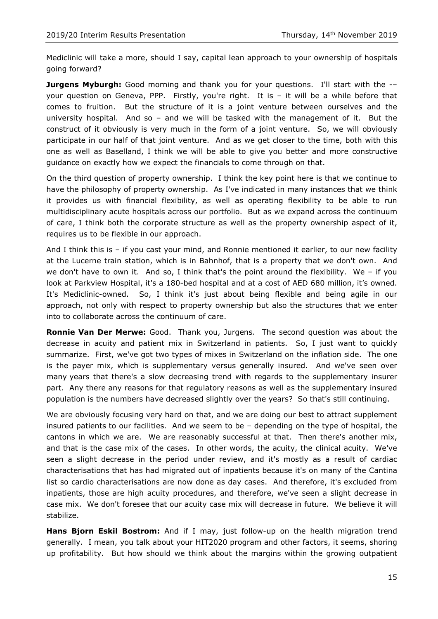Mediclinic will take a more, should I say, capital lean approach to your ownership of hospitals going forward?

**Jurgens Myburgh:** Good morning and thank you for your questions. I'll start with the -your question on Geneva, PPP. Firstly, you're right. It is – it will be a while before that comes to fruition. But the structure of it is a joint venture between ourselves and the university hospital. And so – and we will be tasked with the management of it. But the construct of it obviously is very much in the form of a joint venture. So, we will obviously participate in our half of that joint venture. And as we get closer to the time, both with this one as well as Baselland, I think we will be able to give you better and more constructive guidance on exactly how we expect the financials to come through on that.

On the third question of property ownership. I think the key point here is that we continue to have the philosophy of property ownership. As I've indicated in many instances that we think it provides us with financial flexibility, as well as operating flexibility to be able to run multidisciplinary acute hospitals across our portfolio. But as we expand across the continuum of care, I think both the corporate structure as well as the property ownership aspect of it, requires us to be flexible in our approach.

And I think this is – if you cast your mind, and Ronnie mentioned it earlier, to our new facility at the Lucerne train station, which is in Bahnhof, that is a property that we don't own. And we don't have to own it. And so, I think that's the point around the flexibility. We - if you look at Parkview Hospital, it's a 180-bed hospital and at a cost of AED 680 million, it's owned. It's Mediclinic-owned. So, I think it's just about being flexible and being agile in our approach, not only with respect to property ownership but also the structures that we enter into to collaborate across the continuum of care.

**Ronnie Van Der Merwe:** Good. Thank you, Jurgens. The second question was about the decrease in acuity and patient mix in Switzerland in patients. So, I just want to quickly summarize. First, we've got two types of mixes in Switzerland on the inflation side. The one is the payer mix, which is supplementary versus generally insured. And we've seen over many years that there's a slow decreasing trend with regards to the supplementary insurer part. Any there any reasons for that regulatory reasons as well as the supplementary insured population is the numbers have decreased slightly over the years? So that's still continuing.

We are obviously focusing very hard on that, and we are doing our best to attract supplement insured patients to our facilities. And we seem to be – depending on the type of hospital, the cantons in which we are. We are reasonably successful at that. Then there's another mix, and that is the case mix of the cases. In other words, the acuity, the clinical acuity. We've seen a slight decrease in the period under review, and it's mostly as a result of cardiac characterisations that has had migrated out of inpatients because it's on many of the Cantina list so cardio characterisations are now done as day cases. And therefore, it's excluded from inpatients, those are high acuity procedures, and therefore, we've seen a slight decrease in case mix. We don't foresee that our acuity case mix will decrease in future. We believe it will stabilize.

**Hans Bjorn Eskil Bostrom:** And if I may, just follow-up on the health migration trend generally. I mean, you talk about your HIT2020 program and other factors, it seems, shoring up profitability. But how should we think about the margins within the growing outpatient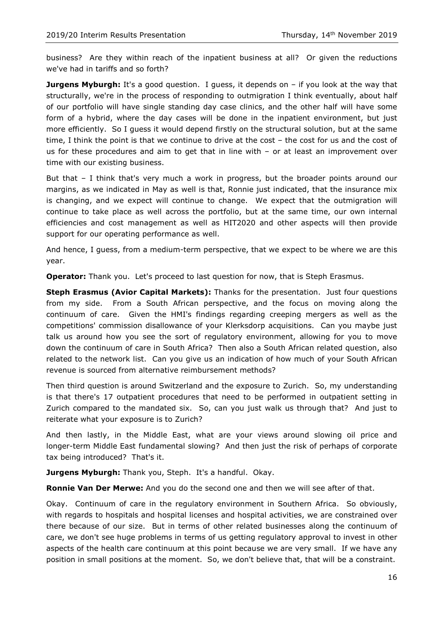business? Are they within reach of the inpatient business at all? Or given the reductions we've had in tariffs and so forth?

**Jurgens Myburgh:** It's a good question. I guess, it depends on - if you look at the way that structurally, we're in the process of responding to outmigration I think eventually, about half of our portfolio will have single standing day case clinics, and the other half will have some form of a hybrid, where the day cases will be done in the inpatient environment, but just more efficiently. So I guess it would depend firstly on the structural solution, but at the same time, I think the point is that we continue to drive at the cost – the cost for us and the cost of us for these procedures and aim to get that in line with – or at least an improvement over time with our existing business.

But that – I think that's very much a work in progress, but the broader points around our margins, as we indicated in May as well is that, Ronnie just indicated, that the insurance mix is changing, and we expect will continue to change. We expect that the outmigration will continue to take place as well across the portfolio, but at the same time, our own internal efficiencies and cost management as well as HIT2020 and other aspects will then provide support for our operating performance as well.

And hence, I guess, from a medium-term perspective, that we expect to be where we are this year.

**Operator:** Thank you. Let's proceed to last question for now, that is Steph Erasmus.

**Steph Erasmus (Avior Capital Markets):** Thanks for the presentation. Just four questions from my side. From a South African perspective, and the focus on moving along the continuum of care. Given the HMI's findings regarding creeping mergers as well as the competitions' commission disallowance of your Klerksdorp acquisitions. Can you maybe just talk us around how you see the sort of regulatory environment, allowing for you to move down the continuum of care in South Africa? Then also a South African related question, also related to the network list. Can you give us an indication of how much of your South African revenue is sourced from alternative reimbursement methods?

Then third question is around Switzerland and the exposure to Zurich. So, my understanding is that there's 17 outpatient procedures that need to be performed in outpatient setting in Zurich compared to the mandated six. So, can you just walk us through that? And just to reiterate what your exposure is to Zurich?

And then lastly, in the Middle East, what are your views around slowing oil price and longer-term Middle East fundamental slowing? And then just the risk of perhaps of corporate tax being introduced? That's it.

**Jurgens Myburgh:** Thank you, Steph.It's a handful. Okay.

**Ronnie Van Der Merwe:** And you do the second one and then we will see after of that.

Okay. Continuum of care in the regulatory environment in Southern Africa. So obviously, with regards to hospitals and hospital licenses and hospital activities, we are constrained over there because of our size. But in terms of other related businesses along the continuum of care, we don't see huge problems in terms of us getting regulatory approval to invest in other aspects of the health care continuum at this point because we are very small. If we have any position in small positions at the moment. So, we don't believe that, that will be a constraint.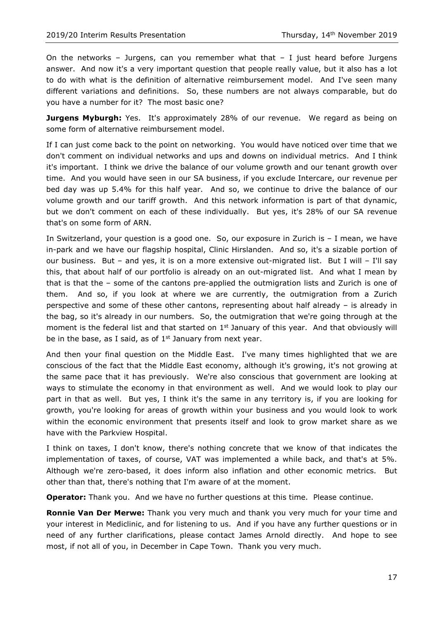On the networks – Jurgens, can you remember what that  $-1$  just heard before Jurgens answer. And now it's a very important question that people really value, but it also has a lot to do with what is the definition of alternative reimbursement model. And I've seen many different variations and definitions. So, these numbers are not always comparable, but do you have a number for it? The most basic one?

**Jurgens Myburgh:** Yes. It's approximately 28% of our revenue. We regard as being on some form of alternative reimbursement model.

If I can just come back to the point on networking. You would have noticed over time that we don't comment on individual networks and ups and downs on individual metrics. And I think it's important. I think we drive the balance of our volume growth and our tenant growth over time. And you would have seen in our SA business, if you exclude Intercare, our revenue per bed day was up 5.4% for this half year. And so, we continue to drive the balance of our volume growth and our tariff growth. And this network information is part of that dynamic, but we don't comment on each of these individually. But yes, it's 28% of our SA revenue that's on some form of ARN.

In Switzerland, your question is a good one. So, our exposure in Zurich is – I mean, we have in-park and we have our flagship hospital, Clinic Hirslanden. And so, it's a sizable portion of our business. But – and yes, it is on a more extensive out-migrated list. But I will – I'll say this, that about half of our portfolio is already on an out-migrated list. And what I mean by that is that the – some of the cantons pre-applied the outmigration lists and Zurich is one of them. And so, if you look at where we are currently, the outmigration from a Zurich perspective and some of these other cantons, representing about half already – is already in the bag, so it's already in our numbers. So, the outmigration that we're going through at the moment is the federal list and that started on 1<sup>st</sup> January of this year. And that obviously will be in the base, as I said, as of  $1<sup>st</sup>$  January from next year.

And then your final question on the Middle East. I've many times highlighted that we are conscious of the fact that the Middle East economy, although it's growing, it's not growing at the same pace that it has previously. We're also conscious that government are looking at ways to stimulate the economy in that environment as well. And we would look to play our part in that as well. But yes, I think it's the same in any territory is, if you are looking for growth, you're looking for areas of growth within your business and you would look to work within the economic environment that presents itself and look to grow market share as we have with the Parkview Hospital.

I think on taxes, I don't know, there's nothing concrete that we know of that indicates the implementation of taxes, of course, VAT was implemented a while back, and that's at 5%. Although we're zero-based, it does inform also inflation and other economic metrics. But other than that, there's nothing that I'm aware of at the moment.

**Operator:** Thank you. And we have no further questions at this time. Please continue.

**Ronnie Van Der Merwe:** Thank you very much and thank you very much for your time and your interest in Mediclinic, and for listening to us. And if you have any further questions or in need of any further clarifications, please contact James Arnold directly. And hope to see most, if not all of you, in December in Cape Town. Thank you very much.